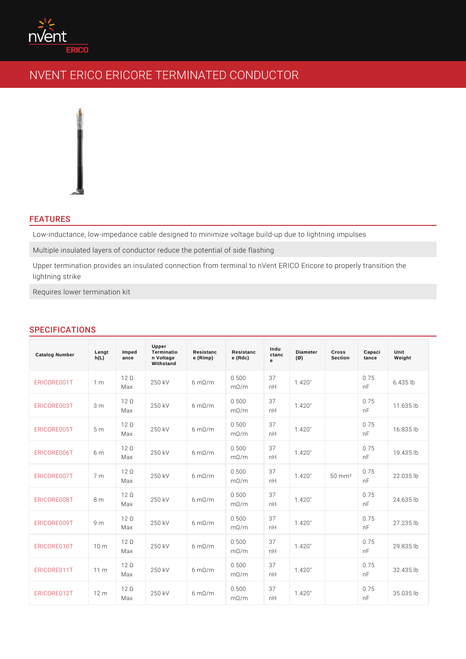# FEATURES

Low-inductance, low-impedance cable designed to minimize voltage build-up due Multiple insulated layers of conductor reduce the potential of side flashing Upper termination provides an insulated connection from terminal to nVent ERIC lightning strike

Requires lower termination kit

# SPECIFICATIONS

| Catalog Number  | Lengt<br>h(L) | Imped<br>ance       | Upper<br>Terminatio<br>n Voltage<br>Withstand | Resistanc<br>e (Rimp) | Resistanc<br>$e$ (Rdc) | Indu<br>ctanc<br>$\mathbf{e}$ | Diameter<br>$(\emptyset)$ | Cross<br>Section     | Capaci<br>tance | Unit<br>Weight |
|-----------------|---------------|---------------------|-----------------------------------------------|-----------------------|------------------------|-------------------------------|---------------------------|----------------------|-----------------|----------------|
| ERICORE001T1 m  |               | $12 \circ$<br>Max   | 250 kV                                        | 6 $m \odot / m$       | 0.500<br>$m \odot / m$ | 37<br>n H                     | 1.420"                    |                      | 0.75<br>n F     | $6.435$ lb     |
| ERICORE003T3 m  |               | $12 \circ$<br>Max   | 250 kV                                        | 6 $m \odot / m$       | 0.500<br>$m \odot / m$ | 37<br>n H                     | 1.420"                    |                      | 0.75<br>n F     | $11.635$ lb    |
| ERICORE005T5 m  |               | $12 \circ$<br>Max   | 250 kV                                        | 6 $m \odot / m$       | 0.500<br>$m \odot / m$ | 37<br>n H                     | 1.420"                    |                      | 0.75<br>n F     | $16.835$ lb    |
| ERICORE006T6 m  |               | $12 \circ$<br>Max   | 250 kV                                        | 6 $m \odot / m$       | 0.500<br>$m \odot / m$ | 37<br>n H                     | 1.420"                    |                      | 0.75<br>n F     | $19.435$ lb    |
| ERICORE007T7 m  |               | $12 \circ$<br>Max   | 250 kV                                        | 6 $m \odot / m$       | 0.500<br>$m \odot / m$ | 37<br>n H                     | 1.420"                    | $50 \, \text{m m}^2$ | 0.75<br>n F     | $22.035$ lb    |
| ERICORE008T8 m  |               | $12 \circ$<br>Max   | 250 kV                                        | 6 $m \odot / m$       | 0.500<br>$m \odot / m$ | 37<br>n H                     | 1.420"                    |                      | 0.75<br>n F     | $24.635$  b    |
| ERICORE009T9 m  |               | $12 \circ$<br>Max   | 250 kV                                        | 6 $m \odot / m$       | 0.500<br>$m \odot / m$ | 37<br>n H                     | 1.420"                    |                      | 0.75<br>n F     | $27.235$ lb    |
| ERICORE010T10 m |               | $12 \circ$<br>Max   | 250 kV                                        | 6 $m \odot / m$       | 0.500<br>$m \odot / m$ | 37<br>n H                     | 1.420"                    |                      | 0.75<br>n F     | $29.835$ lb    |
| ERICORE011T11 m |               | $12 \circ$<br>Max   | 250 kV                                        | 6 $m \odot / m$       | 0.500<br>$m \odot / m$ | 37<br>n H                     | 1.420"                    |                      | 0.75<br>n F     | $32.435$ lb    |
| ERICORE012T12 m |               | $12 \circ$<br>M a x | 250 kV                                        | 6 $m \odot / m$       | 0.500<br>$m \odot / m$ | 37<br>n H                     | 1.420"                    |                      | 0.75<br>n F     | $35.035$ lb    |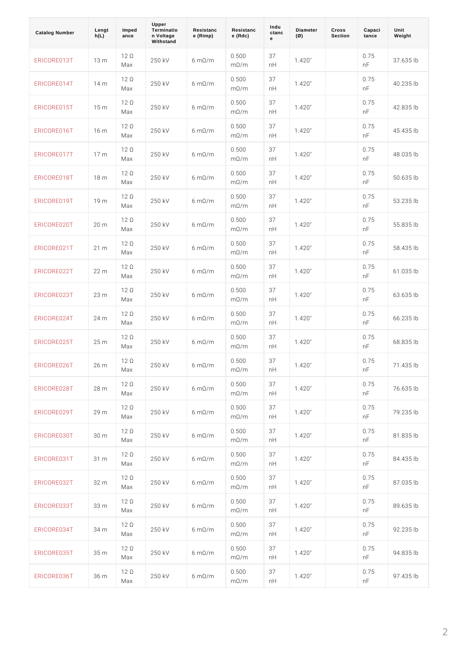| Catalog Number  | Lengt<br>h(L) | Imped<br>ance     | Upper<br>Terminatio<br>n Voltage<br>Withstand | Resistanc<br>e (Rimp) | Resistanc<br>$e$ (Rdc)   | Indu<br>ctanc<br>e | Diameter<br>$(\emptyset)$ | Cross<br>Section | Capaci<br>tance | Unit<br>Weight |  |
|-----------------|---------------|-------------------|-----------------------------------------------|-----------------------|--------------------------|--------------------|---------------------------|------------------|-----------------|----------------|--|
| ERICORE013T13 m |               | $12 \circ$<br>Max | 250 kV                                        | 6 $m \odot / m$       | 0.500<br>$m \otimes / m$ | 37<br>n H          | 1.420"                    |                  | 0.75<br>n F     | $37.635$ lb    |  |
| ERICORE014T14 m |               | $12 \circ$<br>Max | 250 kV                                        | 6 $m \odot / m$       | 0.500<br>$m \otimes / m$ | 37<br>n H          | 1.420"                    |                  | 0.75<br>n F     | $40.235$ lb    |  |
| ERICORE015T15 m |               | $12 \circ$<br>Мах | 250 kV                                        | 6 $m \odot / m$       | 0.500<br>$m \otimes / m$ | 37<br>n H          | 1.420"                    |                  | 0.75<br>n F     | 42.835 lb      |  |
| ERICORE016T16 m |               | $12 \circ$<br>Max | 250 kV                                        | 6 $m \odot / m$       | 0.500<br>$m \otimes / m$ | 37<br>n H          | 1.420"                    |                  | 0.75<br>n F     | $45.435$ lb    |  |
| ERICORE017T17 m |               | $12 \circ$<br>Мах | 250 kV                                        | 6 $m \odot / m$       | 0.500<br>$m \otimes / m$ | 37<br>n H          | 1.420"                    |                  | 0.75<br>n F     | 48.035 lb      |  |
| ERICORE018T18 m |               | 12 ©<br>Max       | 250 kV                                        | 6 $m \odot / m$       | 0.500<br>$m \otimes / m$ | 37<br>n H          | 1.420"                    |                  | 0.75<br>n F     | $50.635$ lb    |  |
| ERICORE019T19 m |               | 12 ©<br>Max       | 250 kV                                        | 6 $m \odot / m$       | 0.500<br>$m \otimes / m$ | 37<br>n H          | 1.420"                    |                  | 0.75<br>n F     | $53.235$ lb    |  |
| ERICORE020T20 m |               | 12 ©<br>Max       | 250 kV                                        | 6 $m \odot / m$       | 0.500<br>$m \otimes / m$ | 37<br>n H          | 1.420"                    |                  | 0.75<br>n F     | 55.835 lb      |  |
| ERICORE021T21 m |               | $12 \circ$<br>Max | 250 kV                                        | 6 $m \odot / m$       | 0.500<br>$m \odot / m$   | 37<br>n H          | 1.420"                    |                  | 0.75<br>n F     | 58.435 lb      |  |
| ERICORE022722 m |               | 12 ©<br>Max       | 250 kV                                        | 6 $m \odot / m$       | 0.500<br>$m \otimes / m$ | 37<br>n H          | 1.420"                    |                  | 0.75<br>n F     | 61.035 lb      |  |
| ERICORE023T23 m |               | 12 ©<br>Max       | 250 kV                                        | 6 $m \odot / m$       | 0.500<br>$m \odot / m$   | 37<br>n H          | 1.420"                    |                  | 0.75<br>n F     | 63.635 lb      |  |
| ERICORE024T24 m |               | 12 ©<br>Мах       | 250 kV                                        | 6 $m \odot / m$       | 0.500<br>$m \odot / m$   | 37<br>n H          | 1.420"                    |                  | 0.75<br>n F     | 66.235 lb      |  |
| ERICORE025725 m |               | 12 ©<br>Мах       | 250 kV                                        | 6 $m \odot / m$       | 0.500<br>$m \otimes / m$ | 37<br>n H          | 1.420"                    |                  | 0.75<br>n F     | 68.835 lb      |  |
| ERICORE026726 m |               | 12 ©<br>Мах       | 250 kV                                        | 6 $m \odot / m$       | 0.500<br>$m \odot / m$   | 37<br>n H          | 1.420"                    |                  | 0.75<br>n F     | 71.435 lb      |  |
| ERICORE028T28 m |               | 12 ©<br>Мах       | 250 kV                                        | 6 $m \odot / m$       | 0.500<br>$m \odot / m$   | 37<br>n H          | 1.420"                    |                  | 0.75<br>n F     | 76.635   b     |  |
| ERICORE029T29 m |               | $12$ ©<br>Мах     | 250 kV                                        | 6 $m \odot / m$       | 0.500<br>$m \odot / m$   | 37<br>n H          | 1.420"                    |                  | 0.75<br>n F     | 79.235 b       |  |
| ERICORE030T30 m |               | $12$ ©<br>Мах     | 250 kV                                        | 6 $m \odot / m$       | 0.500<br>$m \odot / m$   | 37<br>n H          | 1.420"                    |                  | 0.75<br>n F     | 81.835 b       |  |
| ERICORE031T31 m |               | 12 ©<br>Мах       | 250 kV                                        | 6 $m \odot / m$       | 0.500<br>$m \odot / m$   | 37<br>n H          | 1.420"                    |                  | 0.75<br>n F     | 84.435 b       |  |
| ERICORE032732 m |               | 12 ©<br>Мах       | 250 kV                                        | 6 $m \odot / m$       | $0.500$<br>$m \odot / m$ | 37<br>n H          | 1.420"                    |                  | 0.75<br>n F     | 87.035 b       |  |
| ERICORE033T33 m |               | 12 ©<br>Мах       | 250 kV                                        | 6 $m \odot / m$       | 0.500<br>$m \odot / m$   | 37<br>n H          | 1.420"                    |                  | 0.75<br>n F     | 89.635 b       |  |
| ERICORE034T34 m |               | 12 ©<br>Мах       | 250 kV                                        | 6 $m \odot / m$       | 0.500<br>$m \odot / m$   | 37<br>n H          | 1.420"                    |                  | 0.75<br>n F     | 92.235   b     |  |
| ERICORE035T35 m |               | 12 ©<br>Мах       | 250 kV                                        | 6 $m \odot / m$       | 0.500<br>$m \odot / m$   | 37<br>n H          | 1.420"                    |                  | 0.75<br>n F     | $94.835$ lb    |  |
| ERICORE036736 m |               | 12 ©<br>Мах       | 250 kV                                        | 6 $m \odot / m$       | 0.500<br>$m \odot / m$   | 37<br>n H          | 1.420"                    |                  | 0.75<br>n F     | $97.435$ lb    |  |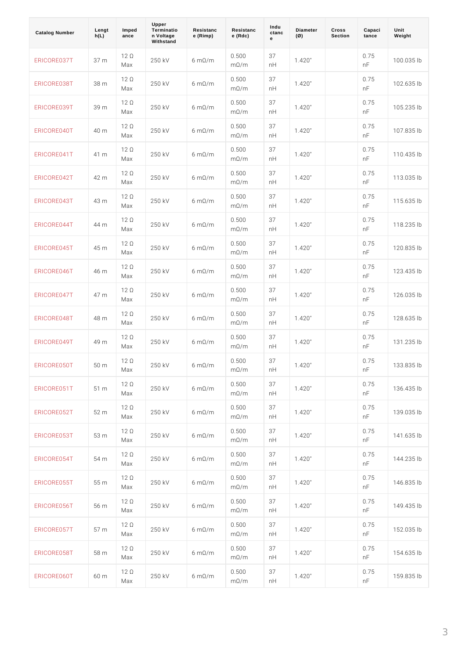| Catalog Number  | Lengt<br>h(L) | Imped<br>ance     | Upper<br>Terminatio<br>n Voltage<br>Withstand | Resistanc<br>e (Rimp)     | Resistanc<br>$e$ (Rdc)     | Indu<br>ctanc<br>е | Diameter<br>$(\emptyset)$ | Cross<br>Section | Capaci<br>tance | Unit<br>Weight |  |
|-----------------|---------------|-------------------|-----------------------------------------------|---------------------------|----------------------------|--------------------|---------------------------|------------------|-----------------|----------------|--|
| ERICORE037T37 m |               | 12 ©<br>Max       | 250 kV                                        | 6 $m \odot / m$           | 0.500<br>$m \otimes / m$   | 37<br>n H          | 1.420"                    |                  | 0.75<br>n F     | $100.035$ lb   |  |
| ERICORE038T38 m |               | $12$ ©<br>Мах     | 250 kV                                        | 6 m © / m                 | 0.500<br>$m \otimes / m$   | 37<br>n H          | 1.420"                    |                  | 0.75<br>n F     | $102.635$ lb   |  |
| ERICORE039T39 m |               | $12$ ©<br>Max     | 250 kV                                        | 6 $m \odot / m$           | 0.500<br>$m \otimes / m$   | 37<br>n H          | 1.420"                    |                  | 0.75<br>n F     | $105.235$ lb   |  |
| ERICORE040T40 m |               | $12$ ©<br>Мах     | 250 kV                                        | 6 $m \odot / m$           | 0.500<br>$m \otimes / m$   | 37<br>n H          | 1.420"                    |                  | 0.75<br>n F     | 107.835 lb     |  |
| ERICORE041T41 m |               | $12$ ©<br>Мах     | 250 kV                                        | 6 $m \odot / m$           | 0.500<br>$m \otimes / m$   | 37<br>n H          | 1.420"                    |                  | 0.75<br>n F     | 110.435 lb     |  |
| ERICORE042T42 m |               | $12$ ©<br>Мах     | 250 kV                                        | 6 m © / m                 | 0.500<br>$m \otimes / m$   | 37<br>n H          | 1.420"                    |                  | 0.75<br>n F     | $113.035$ lb   |  |
| ERICORE043T43 m |               | $12$ ©<br>Мах     | 250 kV                                        | 6 $m \odot / m$           | 0.500<br>$m \otimes / m$   | 37<br>n H          | 1.420"                    |                  | 0.75<br>n F     | 115.635 lb     |  |
| ERICORE044T44 m |               | 12 ©<br>Мах       | 250 kV                                        | 6 m © / m                 | 0.500<br>$m \otimes / m$   | 37<br>n H          | 1.420"                    |                  | 0.75<br>n F     | $118.235$ lb   |  |
| ERICORE045T45 m |               | $12$ ©<br>Мах     | 250 kV                                        | 6 $m \odot / m$           | 0.500<br>$m \otimes / m$   | 37<br>n H          | 1.420"                    |                  | 0.75<br>n F     | 120.835 lb     |  |
| ERICORE046T46 m |               | 12 ©<br>Мах       | 250 kV                                        | 6 m © / m                 | 0.500<br>$m \otimes / m$   | 37<br>n H          | 1.420"                    |                  | 0.75<br>n F     | $123.435$ lb   |  |
| ERICORE047T47 m |               | 12 ©<br>M a x     | 250 kV                                        | 6 $m \odot / m$           | 0.500<br>$m \otimes / m$   | 37<br>n H          | 1.420"                    |                  | 0.75<br>n F     | 126.035 lb     |  |
| ERICORE048T48 m |               | 12 ©<br>Мах       | 250 kV                                        | 6 $m \odot / m$           | 0.500<br>$m \otimes / m$   | 37<br>n H          | 1.420"                    |                  | 0.75<br>n F     | 128.635 lb     |  |
| ERICORE049T49 m |               | 12 ©<br>Мах       | 250 kV                                        | 6 $m \odot / m$           | $0.500$<br>$m \otimes / m$ | 37<br>n H          | 1.420"                    |                  | 0.75<br>n F     | 131.235 lb     |  |
| ERICORE050T50 m |               | 12 ©<br>Мах       | 250 kV                                        | 6 m © / m                 | 0.500<br>$m \otimes / m$   | 37<br>n H          | 1.420"                    |                  | 0.75<br>n F     | 133.835 lb     |  |
| ERICORE051T51 m |               | $12 \circ$<br>Мах | 250 kV                                        | $6 \text{ m} \textcirc N$ | 0.500<br>$m \otimes / m$   | 37<br>n H          | 1.420"                    |                  | 0.75<br>n F     | $136.435$ lb   |  |
| ERICORE052752 m |               | 12 ©<br>Мах       | 250 kV                                        | 6 $m \odot / m$           | 0.500<br>$m \otimes / m$   | 37<br>n H          | 1.420"                    |                  | 0.75<br>n F     | $139.035$ lb   |  |
| ERICORE053753 m |               | 12 ©<br>Мах       | 250 kV                                        | 6 $m \odot / m$           | 0.500<br>$m \otimes / m$   | 37<br>n H          | 1.420"                    |                  | 0.75<br>n F     | 141.635 lb     |  |
| ERICORE054T54 m |               | 12 ©<br>Мах       | 250 kV                                        | 6 $m \odot / m$           | 0.500<br>$m \otimes / m$   | 37<br>n H          | 1.420"                    |                  | 0.75<br>n F     | $144.235$ lb   |  |
| ERICORE055T55 m |               | 12 ©<br>Мах       | 250 kV                                        | 6 $m \odot / m$           | 0.500<br>$m \otimes / m$   | 37<br>n H          | 1.420"                    |                  | 0.75<br>n F     | $146.835$ lb   |  |
| ERICORE056T56 m |               | $12 \circ$<br>Мах | 250 kV                                        | 6 $m \odot / m$           | 0.500<br>$m \otimes / m$   | 37<br>n H          | 1.420"                    |                  | 0.75<br>n F     | 149.435 lb     |  |
| ERICORE057T57 m |               | 12 ©<br>Мах       | 250 kV                                        | 6 $m \odot / m$           | 0.500<br>$m \otimes / m$   | 37<br>n H          | 1.420"                    |                  | 0.75<br>n F     | $152.035$ lb   |  |
| ERICORE058T58 m |               | $12 \circ$<br>Мах | 250 kV                                        | 6 $m \odot / m$           | 0.500<br>$m \otimes / m$   | 37<br>n H          | 1.420"                    |                  | 0.75<br>n F     | $154.635$ lb   |  |
| ERICORE060T60 m |               | 12 ©<br>Max       | 250 kV                                        | 6 $m \odot / m$           | 0.500<br>$m \otimes / m$   | 37<br>n H          | 1.420"                    |                  | 0.75<br>n F     | $159.835$ lb   |  |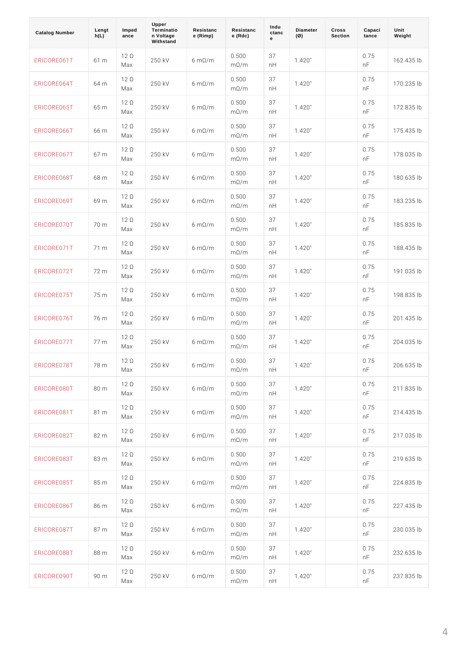| Catalog Number  | Lengt<br>h(L) | Imped<br>ance     | Upper<br>Terminatio<br>n Voltage<br>Withstand | Resistanc<br>e (Rimp)     | Resistanc<br>$e$ (Rdc)     | Indu<br>ctanc<br>e | Diameter<br>$(\emptyset)$ | Cross<br>Section | Capaci<br>tance | Unit<br>Weight |  |
|-----------------|---------------|-------------------|-----------------------------------------------|---------------------------|----------------------------|--------------------|---------------------------|------------------|-----------------|----------------|--|
| ERICORE061T61 m |               | $12 \circ$<br>Max | 250 kV                                        | 6 $m \odot / m$           | 0.500<br>$m \otimes / m$   | 37<br>n H          | 1.420"                    |                  | 0.75<br>n F     | 162.435 lb     |  |
| ERICORE064T64 m |               | 12 ©<br>Max       | 250 kV                                        | 6 $m \odot / m$           | 0.500<br>$m \otimes / m$   | 37<br>n H          | 1.420"                    |                  | 0.75<br>n F     | 170.235 lb     |  |
| ERICORE065T65 m |               | 12 ©<br>Max       | 250 kV                                        | 6 $m \odot / m$           | 0.500<br>$m \otimes / m$   | 37<br>n H          | 1.420"                    |                  | 0.75<br>n F     | 172.835 lb     |  |
| ERICORE066T66 m |               | 12 ©<br>Max       | 250 kV                                        | 6 $m \odot / m$           | 0.500<br>$m \otimes / m$   | 37<br>n H          | 1.420"                    |                  | 0.75<br>n F     | 175.435 lb     |  |
| ERICORE067T67 m |               | 12 ©<br>Max       | 250 kV                                        | 6 $m \odot / m$           | 0.500<br>$m \otimes / m$   | 37<br>n H          | 1.420"                    |                  | 0.75<br>n F     | 178.035 lb     |  |
| ERICORE068T68 m |               | 12 ©<br>Max       | 250 kV                                        | 6 $m \odot / m$           | 0.500<br>$m \otimes / m$   | 37<br>n H          | 1.420"                    |                  | 0.75<br>n F     | 180.635 lb     |  |
| ERICORE069T69 m |               | $12 \circ$<br>Мах | 250 kV                                        | 6 $m \odot / m$           | 0.500<br>$m \otimes / m$   | 37<br>n H          | 1.420"                    |                  | 0.75<br>n F     | 183.235 lb     |  |
| ERICORE070T70 m |               | $12 \circ$<br>Max | 250 kV                                        | 6 $m \odot / m$           | 0.500<br>$m \otimes / m$   | 37<br>n H          | 1.420"                    |                  | 0.75<br>n F     | 185.835 lb     |  |
| ERICORE071T71 m |               | $12$ ©<br>Max     | 250 kV                                        | 6 $m \odot / m$           | 0.500<br>$m \otimes / m$   | 37<br>n H          | 1.420"                    |                  | 0.75<br>n F     | 188.435 lb     |  |
| ERICORE072T72 m |               | 12 ©<br>Max       | 250 kV                                        | 6 $m \odot / m$           | 0.500<br>$m \otimes / m$   | 37<br>n H          | 1.420"                    |                  | 0.75<br>n F     | 191.035 lb     |  |
| ERICORE075T75 m |               | $12 \circ$<br>Мах | 250 kV                                        | 6 $m \odot / m$           | 0.500<br>$m \otimes / m$   | 37<br>n H          | 1.420"                    |                  | 0.75<br>n F     | 198.835 lb     |  |
| ERICORE076T76 m |               | $12$ ©<br>Max     | 250 kV                                        | 6 $m \odot / m$           | 0.500<br>$m \otimes / m$   | 37<br>n H          | 1.420"                    |                  | 0.75<br>n F     | 201.435 lb     |  |
| ERICORE077T77 m |               | $12$ ©<br>Max     | 250 kV                                        | 6 $m \odot / m$           | 0.500<br>$m \otimes / m$   | 37<br>n H          | 1.420"                    |                  | 0.75<br>n F     | 204.035 lb     |  |
| ERICORE078T78 m |               | 12 ©<br>Мах       | 250 kV                                        | 6 m © / m                 | 0.500<br>$m \otimes / m$   | 37<br>n H          | 1.420"                    |                  | 0.75<br>n F     | $206.635$ lb   |  |
| ERICORE080T80 m |               | 12 ©<br>Мах       | 250 kV                                        | $6 \text{ m} \textcirc N$ | 0.500<br>$m \otimes / m$   | 37<br>n H          | 1.420"                    |                  | 0.75<br>n F     | 211.835 lb     |  |
| ERICORE081T81 m |               | 12 ©<br>Мах       | 250 kV                                        | 6 $m \odot / m$           | $0.500$<br>$m \otimes / m$ | 37<br>n H          | 1.420"                    |                  | 0.75<br>n F     | 214.435 lb     |  |
| ERICORE082T82 m |               | $12$ ©<br>Мах     | 250 kV                                        | 6 $m \odot / m$           | 0.500<br>$m \otimes / m$   | 37<br>n H          | 1.420"                    |                  | 0.75<br>n F     | 217.035 lb     |  |
| ERICORE083T83 m |               | 12 ©<br>Мах       | 250 kV                                        | 6 $m \odot / m$           | 0.500<br>$m \otimes / m$   | 37<br>n H          | 1.420"                    |                  | 0.75<br>n F     | $219.635$ lb   |  |
| ERICORE085T85 m |               | 12 ©<br>Мах       | 250 kV                                        | 6 $m \odot / m$           | 0.500<br>$m \otimes / m$   | 37<br>n H          | 1.420"                    |                  | 0.75<br>n F     | 224.835 lb     |  |
| ERICORE086T86 m |               | 12 ©<br>Мах       | 250 kV                                        | 6 $m \odot / m$           | 0.500<br>$m \otimes / m$   | 37<br>n H          | 1.420"                    |                  | 0.75<br>n F     | 227.435 lb     |  |
| ERICORE087T87 m |               | 12 ©<br>Мах       | 250 kV                                        | 6 $m \odot / m$           | 0.500<br>$m \otimes / m$   | 37<br>n H          | 1.420"                    |                  | 0.75<br>n F     | 230.035 lb     |  |
| ERICORE088T88 m |               | 12 ©<br>Мах       | 250 kV                                        | 6 $m \odot / m$           | 0.500<br>$m \otimes / m$   | 37<br>n H          | 1.420"                    |                  | 0.75<br>n F     | 232.635 lb     |  |
| ERICORE090T90 m |               | 12 ©<br>Мах       | 250 kV                                        | 6 $m \odot / m$           | 0.500<br>$m \odot / m$     | 37<br>n H          | 1.420"                    |                  | 0.75<br>n F     | 237.835 lb     |  |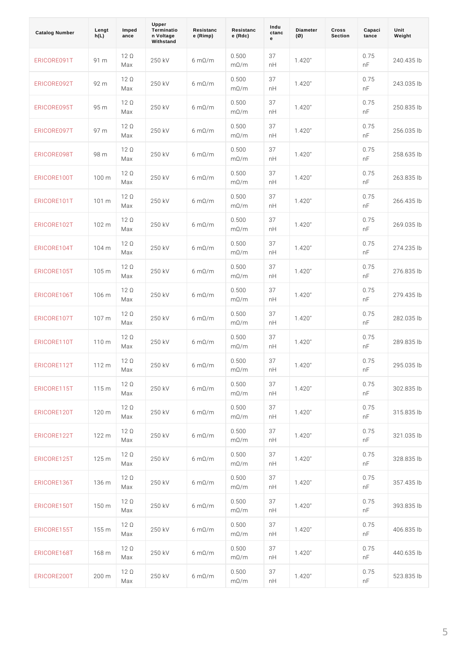| Catalog Number    | Lengt<br>h(L) | Imped<br>ance     | Upper<br>Terminatio<br>n Voltage<br>Withstand | Resistanc<br>e (Rimp) | Resistanc<br>e (Rdc)             | Indu<br>ctanc<br>e | Diameter<br>$(\emptyset)$ | Cross<br>Section | Capaci<br>tance | Unit<br>Weight |  |
|-------------------|---------------|-------------------|-----------------------------------------------|-----------------------|----------------------------------|--------------------|---------------------------|------------------|-----------------|----------------|--|
| ERICORE091T91 m   |               | $12 \circ$<br>Max | 250 kV                                        | 6 m © / m             | 0.500<br>$m \otimes / m$         | 37<br>n H          | 1.420"                    |                  | 0.75<br>n F     | 240.435 lb     |  |
| ERICORE092T92 m   |               | $12$ ©<br>Мах     | 250 kV                                        | 6 m © / m             | 0.500<br>$m \otimes / m$         | 37<br>n H          | 1.420"                    |                  | 0.75<br>n F     | $243.035$ lb   |  |
| ERICORE095T95 m   |               | 12 ©<br>Max       | 250 kV                                        | 6 m © / m             | 0.500<br>$m \otimes / m$         | 37<br>n H          | 1.420"                    |                  | 0.75<br>n F     | 250.835 lb     |  |
| ERICORE097T97 m   |               | $12$ ©<br>Max     | 250 kV                                        | 6 m © / m             | 0.500<br>$m \otimes / m$         | 37<br>n H          | 1.420"                    |                  | 0.75<br>n F     | $256.035$ lb   |  |
| ERICORE098T98 m   |               | $12$ ©<br>Max     | 250 kV                                        | 6 m © / m             | 0.500<br>$m \otimes / m$         | 37<br>n H          | 1.420"                    |                  | 0.75<br>n F     | 258.635 lb     |  |
| ERICORE100T100 m  |               | 12 ©<br>Мах       | 250 kV                                        | 6 m © / m             | 0.500<br>$m \otimes / m$         | 37<br>n H          | 1.420"                    |                  | 0.75<br>n F     | 263.835 lb     |  |
| ERICORE101T101 m  |               | $12 \circ$<br>Мах | 250 kV                                        | 6 m © / m             | 0.500<br>$m \otimes / m$         | 37<br>n H          | 1.420"                    |                  | 0.75<br>n F     | 266.435 lb     |  |
| ERICORE102T102 m  |               | $12 \circ$<br>Мах | 250 kV                                        | 6 m © / m             | 0.500<br>$m \otimes / m$         | 37<br>n H          | 1.420"                    |                  | 0.75<br>n F     | $269.035$ lb   |  |
| ERICORE104T104 m  |               | 12 ©<br>Мах       | 250 kV                                        | 6 m © / m             | 0.500<br>$m \otimes / m$         | 37<br>n H          | 1.420"                    |                  | 0.75<br>n F     | 274.235 lb     |  |
| ERICORE105T105 m  |               | 12 ©<br>Мах       | 250 kV                                        | 6 m © / m             | 0.500<br>$m \otimes / m$         | 37<br>n H          | 1.420"                    |                  | 0.75<br>n F     | 276.835 lb     |  |
| ERICORE106T106 m  |               | 12 ©<br>Мах       | 250 kV                                        | 6 m © / m             | 0.500<br>$m \otimes / m$         | 37<br>n H          | 1.420"                    |                  | 0.75<br>n F     | 279.435 lb     |  |
| ERICORE107T107 m  |               | 12 ©<br>Мах       | 250 kV                                        | 6 m © / m             | 0.500<br>$m \otimes / m$         | 37<br>n H          | 1.420"                    |                  | 0.75<br>n F     | 282.035 lb     |  |
| ERICORE110T110 m  |               | 12 ©<br>Мах       | 250 kV                                        | 6 $m \odot / m$       | 0.500<br>$m \otimes / m$         | 37<br>n H          | 1.420"                    |                  | 0.75<br>n F     | 289.835 lb     |  |
| ERICORE112T112    |               | 12 ©<br>Мах       | 250 kV                                        | 6 m © / m             | 0.500<br>$m \otimes / m$         | 37<br>n H          | 1.420"                    |                  | 0.75<br>n F     | 295.035 lb     |  |
| ERICORE115 T115 m |               | $12 \circ$<br>Мах | 250 kV                                        | 6 $m \odot / m$       | 0.500<br>$m \otimes / m$         | 37<br>n H          | 1.420"                    |                  | 0.75<br>n F     | $302.835$ lb   |  |
| ERICORE120T120 m  |               | 12 ©<br>Мах       | 250 kV                                        | 6 $m \odot / m$       | 0.500<br>$m \otimes / m$         | 37<br>n H          | 1.420"                    |                  | 0.75<br>n F     | 315.835 lb     |  |
| ERICORE1227122 m  |               | 12 ©<br>Мах       | 250 kV                                        | 6 $m \odot / m$       | 0.500<br>$m \otimes / m$         | 37<br>n H          | 1.420"                    |                  | 0.75<br>n F     | 321.035 lb     |  |
| ERICORE125T125 m  |               | 12 ©<br>Мах       | 250 kV                                        | 6 $m \odot / m$       | 0.500<br>$m \otimes / m$         | 37<br>n H          | 1.420"                    |                  | 0.75<br>n F     | 328.835 lb     |  |
| ERICORE136T136 m  |               | $12 \circ$<br>Мах | 250 kV                                        | 6 $m \odot / m$       | 0.500<br>$m \otimes / m$         | 37<br>n H          | 1.420"                    |                  | 0.75<br>n F     | $357.435$ lb   |  |
| ERICORE150T150 m  |               | $12 \circ$<br>Мах | 250 kV                                        | 6 $m \odot / m$       | $0$ . 5 $0$ 0<br>$m \otimes / m$ | 37<br>n H          | 1.420"                    |                  | 0.75<br>n F     | 393.835 lb     |  |
| ERICORE155T155 m  |               | $12 \circ$<br>Мах | 250 kV                                        | 6 $m \odot / m$       | 0.500<br>$m \otimes / m$         | 37<br>n H          | 1.420"                    |                  | 0.75<br>n F     | 406.835 lb     |  |
| ERICORE168T168 m  |               | $12 \circ$<br>Мах | 250 kV                                        | 6 $m \odot / m$       | $0$ . 5 $0$ 0<br>$m \otimes / m$ | 37<br>n H          | 1.420"                    |                  | 0.75<br>n F     | 440.635 lb     |  |
| ERICORE2007200 m  |               | $12 \circ$<br>Мах | 250 kV                                        | 6 $m \odot / m$       | 0.500<br>$m \otimes / m$         | 37<br>n H          | 1.420"                    |                  | 0.75<br>n F     | 523.835 lb     |  |